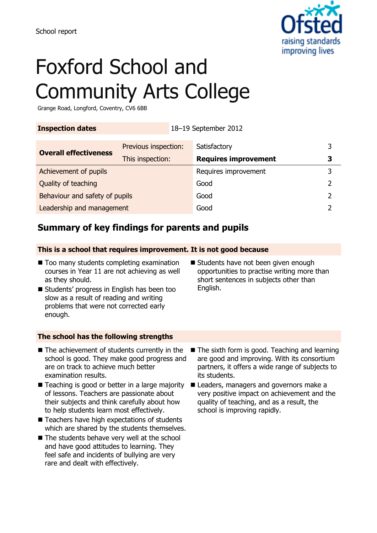

# Foxford School and Community Arts College

Grange Road, Longford, Coventry, CV6 6BB

**Inspection dates** 18–19 September 2012

| <b>Overall effectiveness</b>   | Previous inspection: | Satisfactory                |   |
|--------------------------------|----------------------|-----------------------------|---|
|                                | This inspection:     | <b>Requires improvement</b> | 3 |
| Achievement of pupils          |                      | Requires improvement        |   |
| Quality of teaching            |                      | Good                        |   |
| Behaviour and safety of pupils |                      | Good                        |   |
| Leadership and management      |                      | Good                        |   |

## **Summary of key findings for parents and pupils**

#### **This is a school that requires improvement. It is not good because**

- Too many students completing examination courses in Year 11 are not achieving as well as they should.
- Students' progress in English has been too slow as a result of reading and writing problems that were not corrected early enough.
- Students have not been given enough opportunities to practise writing more than short sentences in subjects other than English.

#### **The school has the following strengths**

- $\blacksquare$  The achievement of students currently in the school is good. They make good progress and are on track to achieve much better examination results.
- Teaching is good or better in a large majority of lessons. Teachers are passionate about their subjects and think carefully about how to help students learn most effectively.
- Teachers have high expectations of students which are shared by the students themselves.
- The students behave very well at the school and have good attitudes to learning. They feel safe and incidents of bullying are very rare and dealt with effectively.
- The sixth form is good. Teaching and learning are good and improving. With its consortium partners, it offers a wide range of subjects to its students.
- Leaders, managers and governors make a very positive impact on achievement and the quality of teaching, and as a result, the school is improving rapidly.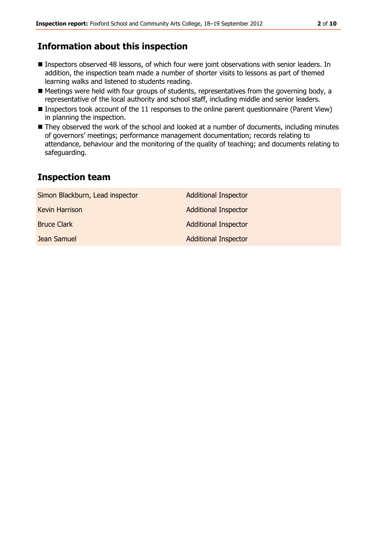### **Information about this inspection**

- Inspectors observed 48 lessons, of which four were joint observations with senior leaders. In addition, the inspection team made a number of shorter visits to lessons as part of themed learning walks and listened to students reading.
- Meetings were held with four groups of students, representatives from the governing body, a representative of the local authority and school staff, including middle and senior leaders.
- Inspectors took account of the 11 responses to the online parent questionnaire (Parent View) in planning the inspection.
- They observed the work of the school and looked at a number of documents, including minutes of governors' meetings; performance management documentation; records relating to attendance, behaviour and the monitoring of the quality of teaching; and documents relating to safeguarding.

#### **Inspection team**

| Simon Blackburn, Lead inspector | <b>Additional Inspector</b> |
|---------------------------------|-----------------------------|
| <b>Kevin Harrison</b>           | <b>Additional Inspector</b> |
| <b>Bruce Clark</b>              | <b>Additional Inspector</b> |
| Jean Samuel                     | <b>Additional Inspector</b> |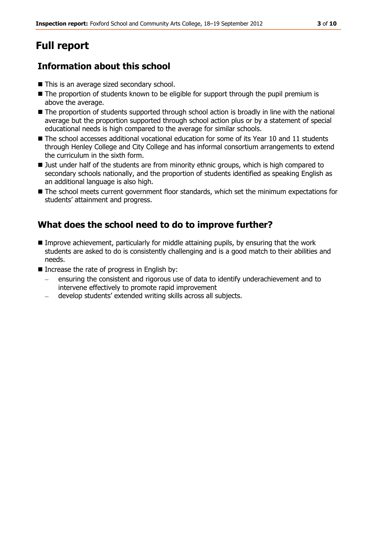# **Full report**

# **Information about this school**

- This is an average sized secondary school.
- The proportion of students known to be eligible for support through the pupil premium is above the average.
- The proportion of students supported through school action is broadly in line with the national average but the proportion supported through school action plus or by a statement of special educational needs is high compared to the average for similar schools.
- $\blacksquare$  The school accesses additional vocational education for some of its Year 10 and 11 students through Henley College and City College and has informal consortium arrangements to extend the curriculum in the sixth form.
- If Just under half of the students are from minority ethnic groups, which is high compared to secondary schools nationally, and the proportion of students identified as speaking English as an additional language is also high.
- $\blacksquare$  The school meets current government floor standards, which set the minimum expectations for students' attainment and progress.

# **What does the school need to do to improve further?**

- Improve achievement, particularly for middle attaining pupils, by ensuring that the work students are asked to do is consistently challenging and is a good match to their abilities and needs.
- Increase the rate of progress in English by:
	- ensuring the consistent and rigorous use of data to identify underachievement and to intervene effectively to promote rapid improvement
	- develop students' extended writing skills across all subjects.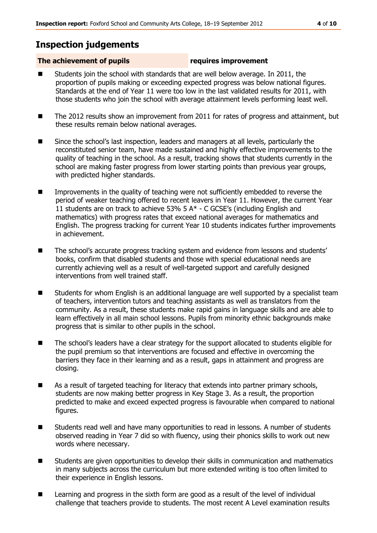### **Inspection judgements**

#### **The achievement of pupils requires improvement**

- Students join the school with standards that are well below average. In 2011, the proportion of pupils making or exceeding expected progress was below national figures. Standards at the end of Year 11 were too low in the last validated results for 2011, with those students who join the school with average attainment levels performing least well.
- The 2012 results show an improvement from 2011 for rates of progress and attainment, but these results remain below national averages.
- Since the school's last inspection, leaders and managers at all levels, particularly the reconstituted senior team, have made sustained and highly effective improvements to the quality of teaching in the school. As a result, tracking shows that students currently in the school are making faster progress from lower starting points than previous year groups, with predicted higher standards.
- **IMPROM** Improvements in the quality of teaching were not sufficiently embedded to reverse the period of weaker teaching offered to recent leavers in Year 11. However, the current Year 11 students are on track to achieve 53% 5 A\* - C GCSE's (including English and mathematics) with progress rates that exceed national averages for mathematics and English. The progress tracking for current Year 10 students indicates further improvements in achievement.
- The school's accurate progress tracking system and evidence from lessons and students' books, confirm that disabled students and those with special educational needs are currently achieving well as a result of well-targeted support and carefully designed interventions from well trained staff.
- Students for whom English is an additional language are well supported by a specialist team of teachers, intervention tutors and teaching assistants as well as translators from the community. As a result, these students make rapid gains in language skills and are able to learn effectively in all main school lessons. Pupils from minority ethnic backgrounds make progress that is similar to other pupils in the school.
- The school's leaders have a clear strategy for the support allocated to students eligible for the pupil premium so that interventions are focused and effective in overcoming the barriers they face in their learning and as a result, gaps in attainment and progress are closing.
- **As a result of targeted teaching for literacy that extends into partner primary schools,** students are now making better progress in Key Stage 3. As a result, the proportion predicted to make and exceed expected progress is favourable when compared to national figures.
- Students read well and have many opportunities to read in lessons. A number of students observed reading in Year 7 did so with fluency, using their phonics skills to work out new words where necessary.
- Students are given opportunities to develop their skills in communication and mathematics in many subjects across the curriculum but more extended writing is too often limited to their experience in English lessons.
- **EXTERGH** Learning and progress in the sixth form are good as a result of the level of individual challenge that teachers provide to students. The most recent A Level examination results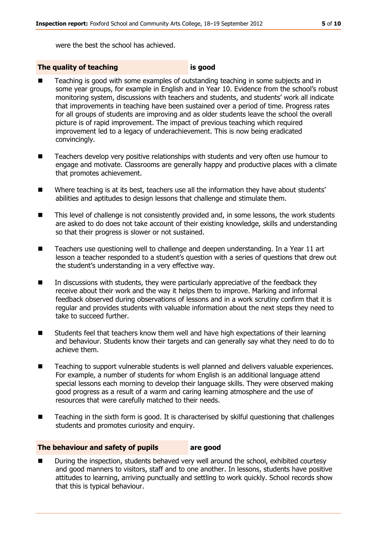were the best the school has achieved.

#### **The quality of teaching is good**

- Teaching is good with some examples of outstanding teaching in some subjects and in some year groups, for example in English and in Year 10. Evidence from the school's robust monitoring system, discussions with teachers and students, and students' work all indicate that improvements in teaching have been sustained over a period of time. Progress rates for all groups of students are improving and as older students leave the school the overall picture is of rapid improvement. The impact of previous teaching which required improvement led to a legacy of underachievement. This is now being eradicated convincingly.
- Teachers develop very positive relationships with students and very often use humour to engage and motivate. Classrooms are generally happy and productive places with a climate that promotes achievement.
- Where teaching is at its best, teachers use all the information they have about students' abilities and aptitudes to design lessons that challenge and stimulate them.
- This level of challenge is not consistently provided and, in some lessons, the work students are asked to do does not take account of their existing knowledge, skills and understanding so that their progress is slower or not sustained.
- Teachers use questioning well to challenge and deepen understanding. In a Year 11 art lesson a teacher responded to a student's question with a series of questions that drew out the student's understanding in a very effective way.
- In discussions with students, they were particularly appreciative of the feedback they receive about their work and the way it helps them to improve. Marking and informal feedback observed during observations of lessons and in a work scrutiny confirm that it is regular and provides students with valuable information about the next steps they need to take to succeed further.
- Students feel that teachers know them well and have high expectations of their learning and behaviour. Students know their targets and can generally say what they need to do to achieve them.
- Teaching to support vulnerable students is well planned and delivers valuable experiences. For example, a number of students for whom English is an additional language attend special lessons each morning to develop their language skills. They were observed making good progress as a result of a warm and caring learning atmosphere and the use of resources that were carefully matched to their needs.
- Teaching in the sixth form is good. It is characterised by skilful questioning that challenges students and promotes curiosity and enquiry.

#### **The behaviour and safety of pupils are good**

 During the inspection, students behaved very well around the school, exhibited courtesy and good manners to visitors, staff and to one another. In lessons, students have positive attitudes to learning, arriving punctually and settling to work quickly. School records show that this is typical behaviour.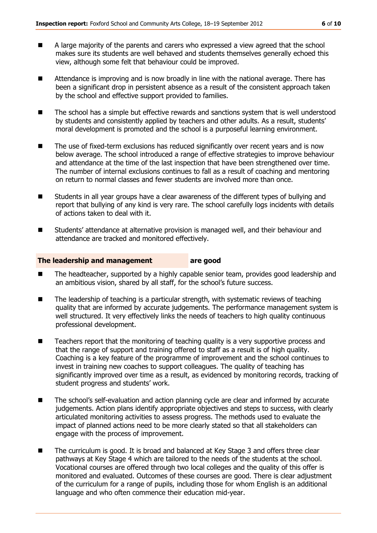- A large majority of the parents and carers who expressed a view agreed that the school makes sure its students are well behaved and students themselves generally echoed this view, although some felt that behaviour could be improved.
- Attendance is improving and is now broadly in line with the national average. There has been a significant drop in persistent absence as a result of the consistent approach taken by the school and effective support provided to families.
- The school has a simple but effective rewards and sanctions system that is well understood by students and consistently applied by teachers and other adults. As a result, students' moral development is promoted and the school is a purposeful learning environment.
- The use of fixed-term exclusions has reduced significantly over recent years and is now below average. The school introduced a range of effective strategies to improve behaviour and attendance at the time of the last inspection that have been strengthened over time. The number of internal exclusions continues to fall as a result of coaching and mentoring on return to normal classes and fewer students are involved more than once.
- Students in all year groups have a clear awareness of the different types of bullying and report that bullying of any kind is very rare. The school carefully logs incidents with details of actions taken to deal with it.
- Students' attendance at alternative provision is managed well, and their behaviour and attendance are tracked and monitored effectively.

#### **The leadership and management are good**

- The headteacher, supported by a highly capable senior team, provides good leadership and an ambitious vision, shared by all staff, for the school's future success.
- The leadership of teaching is a particular strength, with systematic reviews of teaching quality that are informed by accurate judgements. The performance management system is well structured. It very effectively links the needs of teachers to high quality continuous professional development.
- Teachers report that the monitoring of teaching quality is a very supportive process and that the range of support and training offered to staff as a result is of high quality. Coaching is a key feature of the programme of improvement and the school continues to invest in training new coaches to support colleagues. The quality of teaching has significantly improved over time as a result, as evidenced by monitoring records, tracking of student progress and students' work.
- The school's self-evaluation and action planning cycle are clear and informed by accurate judgements. Action plans identify appropriate objectives and steps to success, with clearly articulated monitoring activities to assess progress. The methods used to evaluate the impact of planned actions need to be more clearly stated so that all stakeholders can engage with the process of improvement.
- The curriculum is good. It is broad and balanced at Key Stage 3 and offers three clear pathways at Key Stage 4 which are tailored to the needs of the students at the school. Vocational courses are offered through two local colleges and the quality of this offer is monitored and evaluated. Outcomes of these courses are good. There is clear adjustment of the curriculum for a range of pupils, including those for whom English is an additional language and who often commence their education mid-year.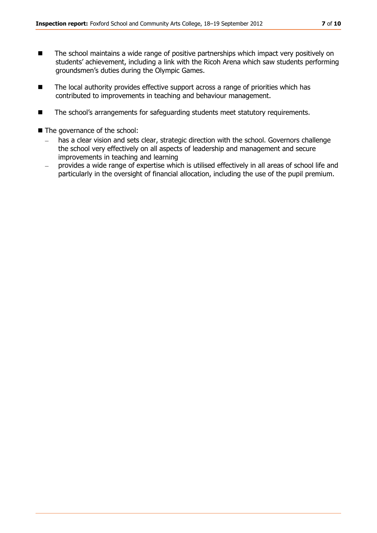- The school maintains a wide range of positive partnerships which impact very positively on students' achievement, including a link with the Ricoh Arena which saw students performing groundsmen's duties during the Olympic Games.
- The local authority provides effective support across a range of priorities which has contributed to improvements in teaching and behaviour management.
- The school's arrangements for safeguarding students meet statutory requirements.

■ The governance of the school:

- has a clear vision and sets clear, strategic direction with the school. Governors challenge  $\equiv$ the school very effectively on all aspects of leadership and management and secure improvements in teaching and learning
- provides a wide range of expertise which is utilised effectively in all areas of school life and particularly in the oversight of financial allocation, including the use of the pupil premium.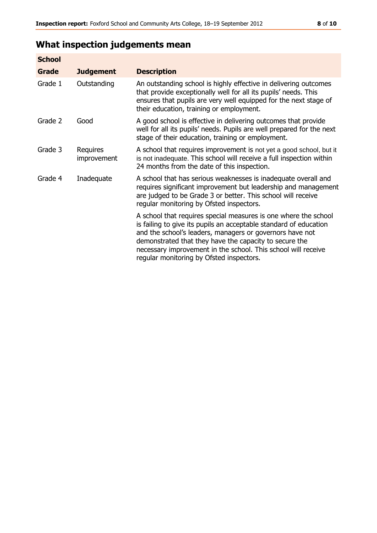# **What inspection judgements mean**

| <b>School</b> |                         |                                                                                                                                                                                                                                                                                                                                                                         |
|---------------|-------------------------|-------------------------------------------------------------------------------------------------------------------------------------------------------------------------------------------------------------------------------------------------------------------------------------------------------------------------------------------------------------------------|
| Grade         | <b>Judgement</b>        | <b>Description</b>                                                                                                                                                                                                                                                                                                                                                      |
| Grade 1       | Outstanding             | An outstanding school is highly effective in delivering outcomes<br>that provide exceptionally well for all its pupils' needs. This<br>ensures that pupils are very well equipped for the next stage of<br>their education, training or employment.                                                                                                                     |
| Grade 2       | Good                    | A good school is effective in delivering outcomes that provide<br>well for all its pupils' needs. Pupils are well prepared for the next<br>stage of their education, training or employment.                                                                                                                                                                            |
| Grade 3       | Requires<br>improvement | A school that requires improvement is not yet a good school, but it<br>is not inadequate. This school will receive a full inspection within<br>24 months from the date of this inspection.                                                                                                                                                                              |
| Grade 4       | Inadequate              | A school that has serious weaknesses is inadequate overall and<br>requires significant improvement but leadership and management<br>are judged to be Grade 3 or better. This school will receive<br>regular monitoring by Ofsted inspectors.                                                                                                                            |
|               |                         | A school that requires special measures is one where the school<br>is failing to give its pupils an acceptable standard of education<br>and the school's leaders, managers or governors have not<br>demonstrated that they have the capacity to secure the<br>necessary improvement in the school. This school will receive<br>regular monitoring by Ofsted inspectors. |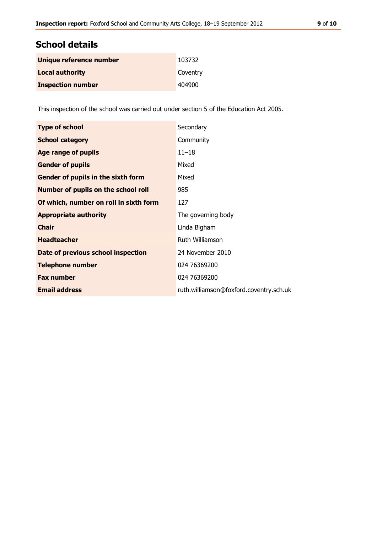### **School details**

| Unique reference number  | 103732   |
|--------------------------|----------|
| <b>Local authority</b>   | Coventry |
| <b>Inspection number</b> | 404900   |

This inspection of the school was carried out under section 5 of the Education Act 2005.

| <b>Type of school</b>                      | Secondary                               |
|--------------------------------------------|-----------------------------------------|
| <b>School category</b>                     | Community                               |
| <b>Age range of pupils</b>                 | $11 - 18$                               |
| <b>Gender of pupils</b>                    | Mixed                                   |
| Gender of pupils in the sixth form         | Mixed                                   |
| <b>Number of pupils on the school roll</b> | 985                                     |
| Of which, number on roll in sixth form     | 127                                     |
| <b>Appropriate authority</b>               | The governing body                      |
| <b>Chair</b>                               | Linda Bigham                            |
| <b>Headteacher</b>                         | Ruth Williamson                         |
| Date of previous school inspection         | 24 November 2010                        |
| <b>Telephone number</b>                    | 024 76369200                            |
| <b>Fax number</b>                          | 024 76369200                            |
| <b>Email address</b>                       | ruth.williamson@foxford.coventry.sch.uk |